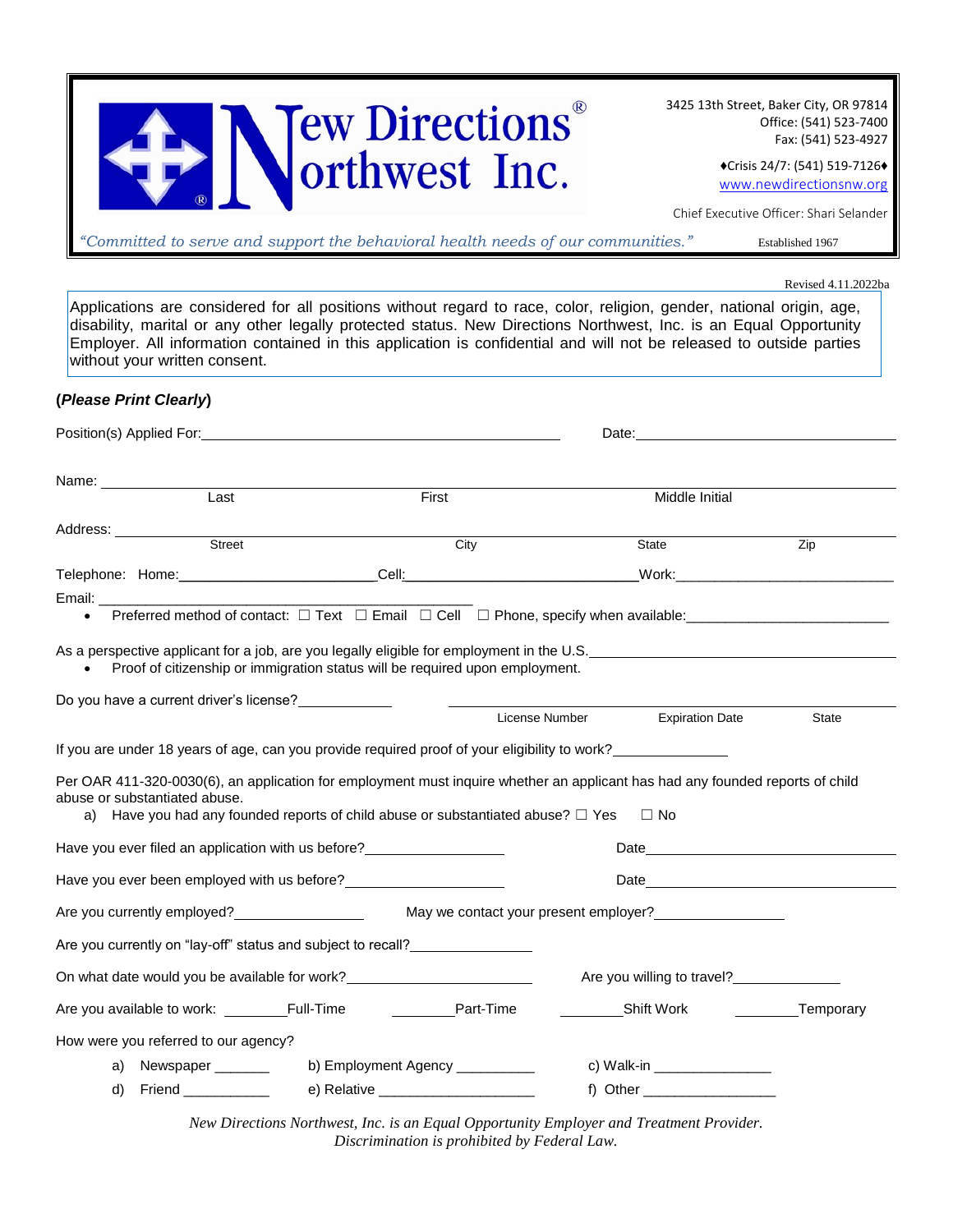| <b>Tew Directions</b> |  |
|-----------------------|--|
| <b>Northwest Inc.</b> |  |

3425 13th Street, Baker City, OR 97814 Office: (541) 523-7400 Fax: (541) 523-4927

> ♦Crisis 24/7: (541) 519-7126♦ [www.newdirectionsnw.org](http://www.newdirectionsnw.org/)

Chief Executive Officer: Shari Selander

*"Committed to serve and support the behavioral health needs of our communities."* Established 1967

Revised 4.11.2022ba

Applications are considered for all positions without regard to race, color, religion, gender, national origin, age, disability, marital or any other legally protected status. New Directions Northwest, Inc. is an Equal Opportunity Employer. All information contained in this application is confidential and will not be released to outside parties without your written consent.

#### **(***Please Print Clearly***)**

| Position(s) Applied For: Note that the state of the state of the state of the state of the state of the state of the state of the state of the state of the state of the state of the state of the state of the state of the s                             |                                                                              |                                                                                              |                                                                                                                                                                                                                                |
|------------------------------------------------------------------------------------------------------------------------------------------------------------------------------------------------------------------------------------------------------------|------------------------------------------------------------------------------|----------------------------------------------------------------------------------------------|--------------------------------------------------------------------------------------------------------------------------------------------------------------------------------------------------------------------------------|
| Name: _______________<br>Last                                                                                                                                                                                                                              |                                                                              |                                                                                              |                                                                                                                                                                                                                                |
|                                                                                                                                                                                                                                                            | First                                                                        | Middle Initial                                                                               |                                                                                                                                                                                                                                |
| Address: ____________                                                                                                                                                                                                                                      |                                                                              |                                                                                              |                                                                                                                                                                                                                                |
| Street                                                                                                                                                                                                                                                     | City                                                                         | State                                                                                        | $\overline{Zip}$                                                                                                                                                                                                               |
|                                                                                                                                                                                                                                                            |                                                                              |                                                                                              |                                                                                                                                                                                                                                |
| Email: Email: Albert March 2007                                                                                                                                                                                                                            |                                                                              |                                                                                              |                                                                                                                                                                                                                                |
| $\bullet$                                                                                                                                                                                                                                                  |                                                                              |                                                                                              |                                                                                                                                                                                                                                |
| As a perspective applicant for a job, are you legally eligible for employment in the U.S. Letterman and the U.S.                                                                                                                                           | Proof of citizenship or immigration status will be required upon employment. |                                                                                              |                                                                                                                                                                                                                                |
| Do you have a current driver's license?                                                                                                                                                                                                                    |                                                                              | License Number<br><b>Expiration Date</b>                                                     | <b>State</b>                                                                                                                                                                                                                   |
|                                                                                                                                                                                                                                                            |                                                                              |                                                                                              |                                                                                                                                                                                                                                |
| If you are under 18 years of age, can you provide required proof of your eligibility to work?                                                                                                                                                              |                                                                              |                                                                                              |                                                                                                                                                                                                                                |
| Per OAR 411-320-0030(6), an application for employment must inquire whether an applicant has had any founded reports of child<br>abuse or substantiated abuse.<br>a) Have you had any founded reports of child abuse or substantiated abuse? $\square$ Yes |                                                                              | $\Box$ No                                                                                    |                                                                                                                                                                                                                                |
| Have you ever filed an application with us before?                                                                                                                                                                                                         |                                                                              |                                                                                              | Date experience and the second state of the second state of the second state of the second state of the second state of the second state of the second state of the second state of the second state of the second state of th |
| Have you ever been employed with us before?                                                                                                                                                                                                                |                                                                              |                                                                                              | Date and the contract of the contract of the contract of the contract of the contract of the contract of the contract of the contract of the contract of the contract of the contract of the contract of the contract of the c |
| Are you currently employed?<br><u> and a second contract of</u>                                                                                                                                                                                            |                                                                              | May we contact your present employer?<br><u> </u>                                            |                                                                                                                                                                                                                                |
| Are you currently on "lay-off" status and subject to recall?                                                                                                                                                                                               |                                                                              |                                                                                              |                                                                                                                                                                                                                                |
| On what date would you be available for work?<br><u>Download and the manual contractor</u>                                                                                                                                                                 |                                                                              | Are you willing to travel?                                                                   |                                                                                                                                                                                                                                |
|                                                                                                                                                                                                                                                            |                                                                              | <b>Example 2</b> Part-Time <b>Constant Constructs</b> Shift Work <b>Constructs</b> Temporary |                                                                                                                                                                                                                                |
| How were you referred to our agency?                                                                                                                                                                                                                       |                                                                              |                                                                                              |                                                                                                                                                                                                                                |
| Newspaper _______<br>a)                                                                                                                                                                                                                                    | b) Employment Agency ___________                                             | c) Walk-in _________________                                                                 |                                                                                                                                                                                                                                |
| d) Friend ___________                                                                                                                                                                                                                                      |                                                                              | f) Other                                                                                     |                                                                                                                                                                                                                                |

*New Directions Northwest, Inc. is an Equal Opportunity Employer and Treatment Provider. Discrimination is prohibited by Federal Law.*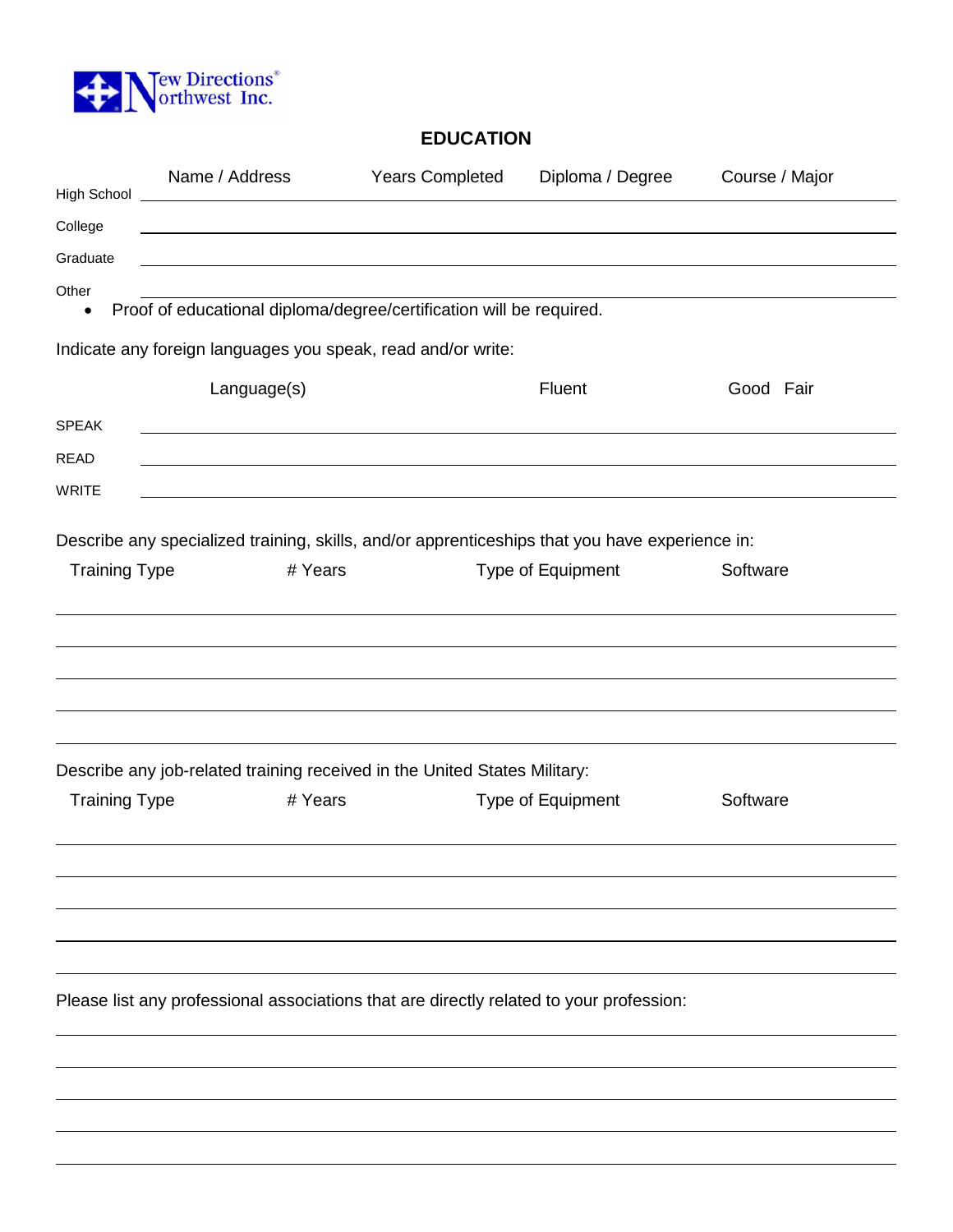

# **EDUCATION**

| High School                                                                             | Name / Address                                                                                 | <b>Years Completed</b> | Diploma / Degree  | Course / Major |
|-----------------------------------------------------------------------------------------|------------------------------------------------------------------------------------------------|------------------------|-------------------|----------------|
| College                                                                                 | <u> 1989 - Johann Barnett, fransk politiker (d. 1989)</u>                                      |                        |                   |                |
| Graduate                                                                                |                                                                                                |                        |                   |                |
| Other                                                                                   |                                                                                                |                        |                   |                |
| $\bullet$                                                                               | Proof of educational diploma/degree/certification will be required.                            |                        |                   |                |
|                                                                                         | Indicate any foreign languages you speak, read and/or write:                                   |                        |                   |                |
|                                                                                         | Language(s)                                                                                    |                        | Fluent            | Good Fair      |
| <b>SPEAK</b>                                                                            |                                                                                                |                        |                   |                |
| <b>READ</b>                                                                             |                                                                                                |                        |                   |                |
| <b>WRITE</b>                                                                            |                                                                                                |                        |                   |                |
|                                                                                         | Describe any specialized training, skills, and/or apprenticeships that you have experience in: |                        |                   |                |
| <b>Training Type</b>                                                                    | # Years                                                                                        |                        | Type of Equipment | Software       |
|                                                                                         |                                                                                                |                        |                   |                |
|                                                                                         |                                                                                                |                        |                   |                |
|                                                                                         |                                                                                                |                        |                   |                |
|                                                                                         |                                                                                                |                        |                   |                |
|                                                                                         |                                                                                                |                        |                   |                |
|                                                                                         | Describe any job-related training received in the United States Military:                      |                        |                   |                |
| <b>Training Type</b>                                                                    | # Years                                                                                        |                        | Type of Equipment | Software       |
|                                                                                         |                                                                                                |                        |                   |                |
|                                                                                         |                                                                                                |                        |                   |                |
|                                                                                         |                                                                                                |                        |                   |                |
|                                                                                         |                                                                                                |                        |                   |                |
|                                                                                         |                                                                                                |                        |                   |                |
| Please list any professional associations that are directly related to your profession: |                                                                                                |                        |                   |                |
|                                                                                         |                                                                                                |                        |                   |                |
|                                                                                         |                                                                                                |                        |                   |                |
|                                                                                         |                                                                                                |                        |                   |                |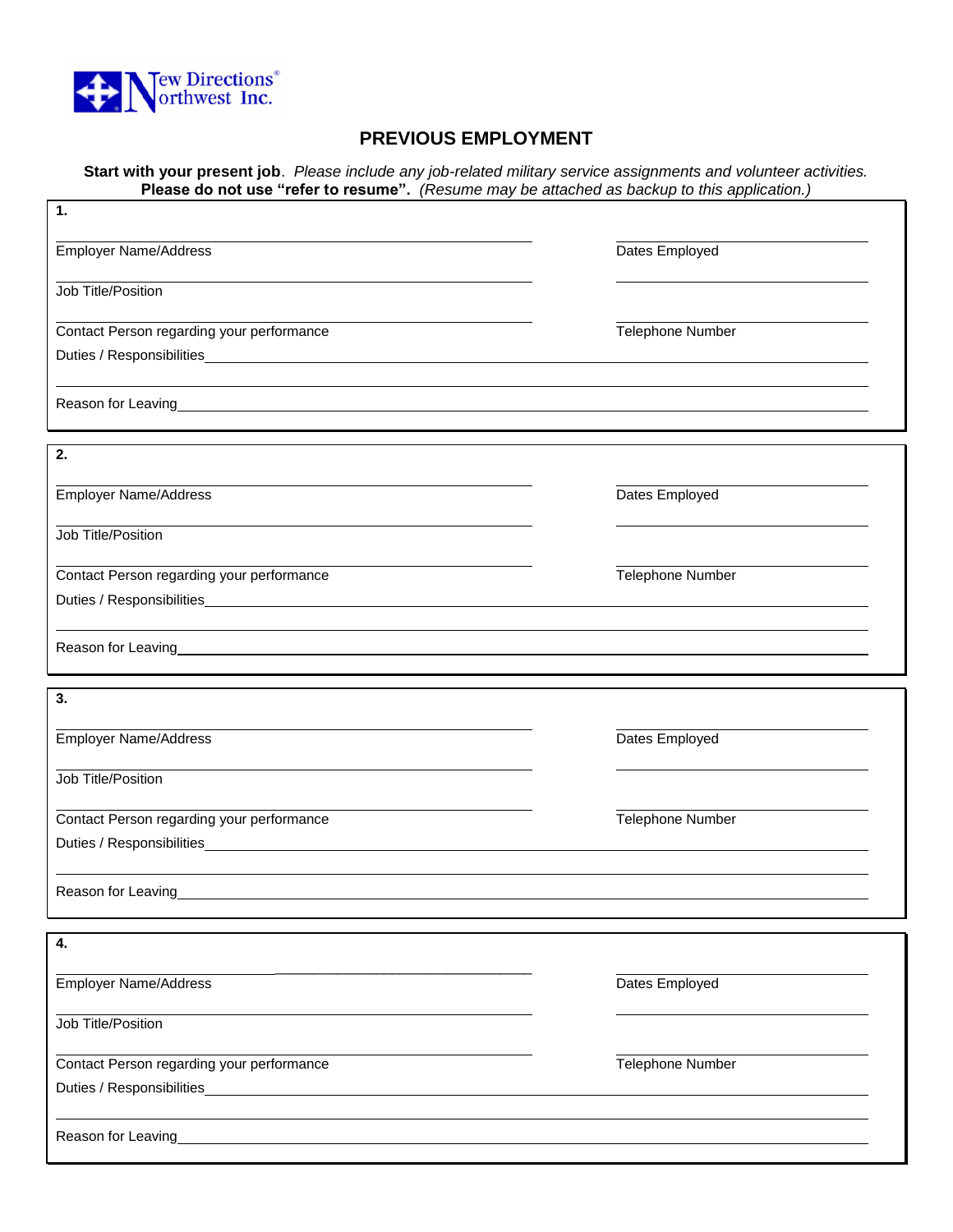

# **PREVIOUS EMPLOYMENT**

**Start with your present job**. *Please include any job-related military service assignments and volunteer activities.*  **Please do not use "refer to resume".** *(Resume may be attached as backup to this application.)*

| $\mathbf 1$ .                                                                                                                                                                                                                  |                  |  |
|--------------------------------------------------------------------------------------------------------------------------------------------------------------------------------------------------------------------------------|------------------|--|
| <b>Employer Name/Address</b>                                                                                                                                                                                                   | Dates Employed   |  |
| Job Title/Position                                                                                                                                                                                                             |                  |  |
| Contact Person regarding your performance                                                                                                                                                                                      | Telephone Number |  |
|                                                                                                                                                                                                                                |                  |  |
|                                                                                                                                                                                                                                |                  |  |
| 2.                                                                                                                                                                                                                             |                  |  |
| <b>Employer Name/Address</b>                                                                                                                                                                                                   | Dates Employed   |  |
| Job Title/Position                                                                                                                                                                                                             |                  |  |
| Contact Person regarding your performance                                                                                                                                                                                      | Telephone Number |  |
| Duties / Responsibilities Manual Account of the Contract of the Contract of the Contract of the Contract of the Contract of the Contract of the Contract of the Contract of the Contract of the Contract of the Contract of th |                  |  |
| Reason for Leaving_                                                                                                                                                                                                            |                  |  |
| 3.                                                                                                                                                                                                                             |                  |  |
| <b>Employer Name/Address</b>                                                                                                                                                                                                   | Dates Employed   |  |
| Job Title/Position                                                                                                                                                                                                             |                  |  |
| Contact Person regarding your performance                                                                                                                                                                                      | Telephone Number |  |
|                                                                                                                                                                                                                                |                  |  |
|                                                                                                                                                                                                                                |                  |  |
| Reason for Leaving                                                                                                                                                                                                             |                  |  |
| 4.                                                                                                                                                                                                                             |                  |  |
| <b>Employer Name/Address</b>                                                                                                                                                                                                   | Dates Employed   |  |
| Job Title/Position                                                                                                                                                                                                             |                  |  |
| Contact Person regarding your performance                                                                                                                                                                                      | Telephone Number |  |
|                                                                                                                                                                                                                                |                  |  |